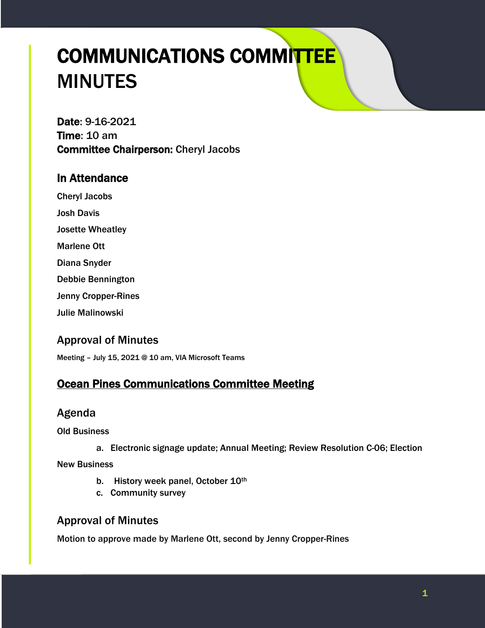# COMMUNICATIONS COMMITTEE MINUTES

Date: 9-16-2021 Time: 10 am Committee Chairperson: Cheryl Jacobs

## In Attendance

Cheryl Jacobs Josh Davis Josette Wheatley

Marlene Ott

Diana Snyder

Debbie Bennington

Jenny Cropper-Rines

Julie Malinowski

## Approval of Minutes

Meeting – July 15, 2021 @ 10 am, VIA Microsoft Teams

# Ocean Pines Communications Committee Meeting

## Agenda

Old Business

a. Electronic signage update; Annual Meeting; Review Resolution C-06; Election

New Business

- b. History week panel, October 10th
- c. Community survey

## Approval of Minutes

Motion to approve made by Marlene Ott, second by Jenny Cropper-Rines